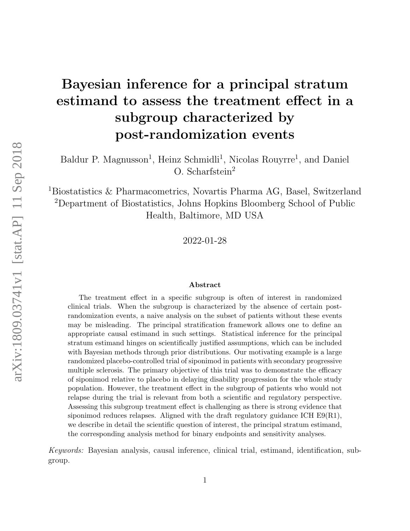# Bayesian inference for a principal stratum estimand to assess the treatment effect in a subgroup characterized by post-randomization events

Baldur P. Magnusson<sup>1</sup>, Heinz Schmidli<sup>1</sup>, Nicolas Rouyrre<sup>1</sup>, and Daniel O. Scharfstein<sup>2</sup>

<sup>1</sup>Biostatistics & Pharmacometrics, Novartis Pharma AG, Basel, Switzerland <sup>2</sup>Department of Biostatistics, Johns Hopkins Bloomberg School of Public Health, Baltimore, MD USA

2022-01-28

#### Abstract

The treatment effect in a specific subgroup is often of interest in randomized clinical trials. When the subgroup is characterized by the absence of certain postrandomization events, a naive analysis on the subset of patients without these events may be misleading. The principal stratification framework allows one to define an appropriate causal estimand in such settings. Statistical inference for the principal stratum estimand hinges on scientifically justified assumptions, which can be included with Bayesian methods through prior distributions. Our motivating example is a large randomized placebo-controlled trial of siponimod in patients with secondary progressive multiple sclerosis. The primary objective of this trial was to demonstrate the efficacy of siponimod relative to placebo in delaying disability progression for the whole study population. However, the treatment effect in the subgroup of patients who would not relapse during the trial is relevant from both a scientific and regulatory perspective. Assessing this subgroup treatment effect is challenging as there is strong evidence that siponimod reduces relapses. Aligned with the draft regulatory guidance ICH  $E9(R1)$ , we describe in detail the scientific question of interest, the principal stratum estimand, the corresponding analysis method for binary endpoints and sensitivity analyses.

Keywords: Bayesian analysis, causal inference, clinical trial, estimand, identification, subgroup.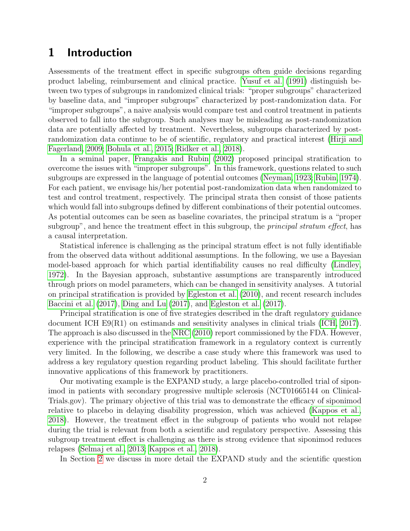# 1 Introduction

Assessments of the treatment effect in specific subgroups often guide decisions regarding product labeling, reimbursement and clinical practice. [Yusuf et al.](#page-15-0) [\(1991\)](#page-15-0) distinguish between two types of subgroups in randomized clinical trials: "proper subgroups" characterized by baseline data, and "improper subgroups" characterized by post-randomization data. For "improper subgroups", a naive analysis would compare test and control treatment in patients observed to fall into the subgroup. Such analyses may be misleading as post-randomization data are potentially affected by treatment. Nevertheless, subgroups characterized by postrandomization data continue to be of scientific, regulatory and practical interest [\(Hirji and](#page-14-0) [Fagerland, 2009;](#page-14-0) [Bohula et al., 2015;](#page-13-0) [Ridker et al., 2018\)](#page-15-1).

In a seminal paper, [Frangakis and Rubin](#page-14-1) [\(2002\)](#page-14-1) proposed principal stratification to overcome the issues with "improper subgroups". In this framework, questions related to such subgroups are expressed in the language of potential outcomes [\(Neyman, 1923;](#page-15-2) [Rubin, 1974\)](#page-15-3). For each patient, we envisage his/her potential post-randomization data when randomized to test and control treatment, respectively. The principal strata then consist of those patients which would fall into subgroups defined by different combinations of their potential outcomes. As potential outcomes can be seen as baseline covariates, the principal stratum is a "proper subgroup", and hence the treatment effect in this subgroup, the *principal stratum effect*, has a causal interpretation.

Statistical inference is challenging as the principal stratum effect is not fully identifiable from the observed data without additional assumptions. In the following, we use a Bayesian model-based approach for which partial identifiability causes no real difficulty [\(Lindley,](#page-14-2) [1972\)](#page-14-2). In the Bayesian approach, substantive assumptions are transparently introduced through priors on model parameters, which can be changed in sensitivity analyses. A tutorial on principal stratification is provided by [Egleston et al.](#page-14-3) [\(2010\)](#page-14-3), and recent research includes [Baccini et al.](#page-13-1) [\(2017\)](#page-13-1), [Ding and Lu](#page-13-2) [\(2017\)](#page-13-2), and [Egleston et al.](#page-14-4) [\(2017\)](#page-14-4).

Principal stratification is one of five strategies described in the draft regulatory guidance document ICH E9(R1) on estimands and sensitivity analyses in clinical trials [\(ICH, 2017\)](#page-14-5). The approach is also discussed in the [NRC](#page-15-4) [\(2010\)](#page-15-4) report commissioned by the FDA. However, experience with the principal stratification framework in a regulatory context is currently very limited. In the following, we describe a case study where this framework was used to address a key regulatory question regarding product labeling. This should facilitate further innovative applications of this framework by practitioners.

Our motivating example is the EXPAND study, a large placebo-controlled trial of siponimod in patients with secondary progressive multiple sclerosis (NCT01665144 on Clinical-Trials.gov). The primary objective of this trial was to demonstrate the efficacy of siponimod relative to placebo in delaying disability progression, which was achieved [\(Kappos et al.,](#page-14-6) [2018\)](#page-14-6). However, the treatment effect in the subgroup of patients who would not relapse during the trial is relevant from both a scientific and regulatory perspective. Assessing this subgroup treatment effect is challenging as there is strong evidence that siponimod reduces relapses [\(Selmaj et al., 2013;](#page-15-5) [Kappos et al., 2018\)](#page-14-6).

In Section [2](#page-2-0) we discuss in more detail the EXPAND study and the scientific question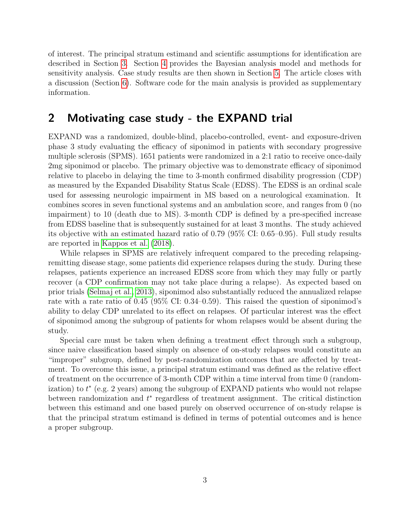of interest. The principal stratum estimand and scientific assumptions for identification are described in Section [3.](#page-3-0) Section [4](#page-5-0) provides the Bayesian analysis model and methods for sensitivity analysis. Case study results are then shown in Section [5.](#page-8-0) The article closes with a discussion (Section [6\)](#page-11-0). Software code for the main analysis is provided as supplementary information.

### <span id="page-2-0"></span>2 Motivating case study - the EXPAND trial

EXPAND was a randomized, double-blind, placebo-controlled, event- and exposure-driven phase 3 study evaluating the efficacy of siponimod in patients with secondary progressive multiple sclerosis (SPMS). 1651 patients were randomized in a 2:1 ratio to receive once-daily 2mg siponimod or placebo. The primary objective was to demonstrate efficacy of siponimod relative to placebo in delaying the time to 3-month confirmed disability progression (CDP) as measured by the Expanded Disability Status Scale (EDSS). The EDSS is an ordinal scale used for assessing neurologic impairment in MS based on a neurological examination. It combines scores in seven functional systems and an ambulation score, and ranges from 0 (no impairment) to 10 (death due to MS). 3-month CDP is defined by a pre-specified increase from EDSS baseline that is subsequently sustained for at least 3 months. The study achieved its objective with an estimated hazard ratio of 0.79 (95% CI: 0.65–0.95). Full study results are reported in [Kappos et al.](#page-14-6) [\(2018\)](#page-14-6).

While relapses in SPMS are relatively infrequent compared to the preceding relapsingremitting disease stage, some patients did experience relapses during the study. During these relapses, patients experience an increased EDSS score from which they may fully or partly recover (a CDP confirmation may not take place during a relapse). As expected based on prior trials [\(Selmaj et al., 2013\)](#page-15-5), siponimod also substantially reduced the annualized relapse rate with a rate ratio of 0.45 (95% CI: 0.34–0.59). This raised the question of siponimod's ability to delay CDP unrelated to its effect on relapses. Of particular interest was the effect of siponimod among the subgroup of patients for whom relapses would be absent during the study.

Special care must be taken when defining a treatment effect through such a subgroup, since naive classification based simply on absence of on-study relapses would constitute an "improper" subgroup, defined by post-randomization outcomes that are affected by treatment. To overcome this issue, a principal stratum estimand was defined as the relative effect of treatment on the occurrence of 3-month CDP within a time interval from time 0 (randomization) to t ∗ (e.g. 2 years) among the subgroup of EXPAND patients who would not relapse between randomization and  $t^*$  regardless of treatment assignment. The critical distinction between this estimand and one based purely on observed occurrence of on-study relapse is that the principal stratum estimand is defined in terms of potential outcomes and is hence a proper subgroup.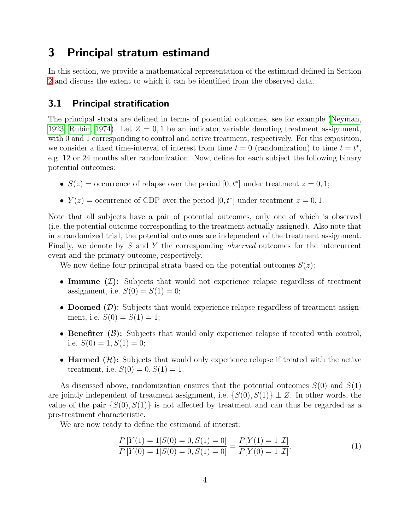## <span id="page-3-0"></span>3 Principal stratum estimand

In this section, we provide a mathematical representation of the estimand defined in Section [2](#page-2-0) and discuss the extent to which it can be identified from the observed data.

### 3.1 Principal stratification

The principal strata are defined in terms of potential outcomes, see for example [\(Neyman,](#page-15-2) [1923;](#page-15-2) [Rubin, 1974\)](#page-15-3). Let  $Z = 0, 1$  be an indicator variable denoting treatment assignment, with 0 and 1 corresponding to control and active treatment, respectively. For this exposition, we consider a fixed time-interval of interest from time  $t = 0$  (randomization) to time  $t = t^*$ , e.g. 12 or 24 months after randomization. Now, define for each subject the following binary potential outcomes:

- $S(z) =$  occurrence of relapse over the period  $[0, t^*]$  under treatment  $z = 0, 1;$
- $Y(z) =$  occurrence of CDP over the period  $[0, t^*]$  under treatment  $z = 0, 1$ .

Note that all subjects have a pair of potential outcomes, only one of which is observed (i.e. the potential outcome corresponding to the treatment actually assigned). Also note that in a randomized trial, the potential outcomes are independent of the treatment assignment. Finally, we denote by S and Y the corresponding *observed* outcomes for the intercurrent event and the primary outcome, respectively.

We now define four principal strata based on the potential outcomes  $S(z)$ :

- Immune  $(\mathcal{I})$ : Subjects that would not experience relapse regardless of treatment assignment, i.e.  $S(0) = S(1) = 0$ ;
- **Doomed**  $(D)$ : Subjects that would experience relapse regardless of treatment assignment, i.e.  $S(0) = S(1) = 1$ ;
- Benefiter  $(\beta)$ : Subjects that would only experience relapse if treated with control, i.e.  $S(0) = 1, S(1) = 0$ ;
- Harmed  $(\mathcal{H})$ : Subjects that would only experience relapse if treated with the active treatment, i.e.  $S(0) = 0, S(1) = 1$ .

As discussed above, randomization ensures that the potential outcomes  $S(0)$  and  $S(1)$ are jointly independent of treatment assignment, i.e.  $\{S(0), S(1)\} \perp Z$ . In other words, the value of the pair  $\{S(0), S(1)\}\$ is not affected by treatment and can thus be regarded as a pre-treatment characteristic.

We are now ready to define the estimand of interest:

<span id="page-3-1"></span>
$$
\frac{P[Y(1) = 1|S(0) = 0, S(1) = 0]}{P[Y(0) = 1|S(0) = 0, S(1) = 0]} = \frac{P[Y(1) = 1|\mathcal{I}]}{P[Y(0) = 1|\mathcal{I}]}.
$$
\n(1)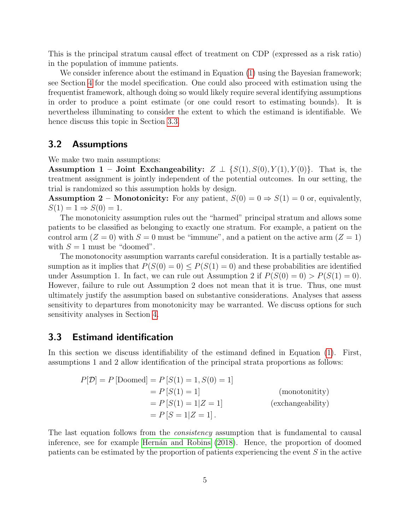This is the principal stratum causal effect of treatment on CDP (expressed as a risk ratio) in the population of immune patients.

We consider inference about the estimand in Equation [\(1\)](#page-3-1) using the Bayesian framework; see Section [4](#page-5-0) for the model specification. One could also proceed with estimation using the frequentist framework, although doing so would likely require several identifying assumptions in order to produce a point estimate (or one could resort to estimating bounds). It is nevertheless illuminating to consider the extent to which the estimand is identifiable. We hence discuss this topic in Section [3.3.](#page-4-0)

#### 3.2 Assumptions

We make two main assumptions:

Assumption 1 – Joint Exchangeability:  $Z \perp \{S(1), S(0), Y(1), Y(0)\}\$ . That is, the treatment assignment is jointly independent of the potential outcomes. In our setting, the trial is randomized so this assumption holds by design.

**Assumption 2** – **Monotonicity:** For any patient,  $S(0) = 0 \Rightarrow S(1) = 0$  or, equivalently,  $S(1) = 1 \Rightarrow S(0) = 1.$ 

The monotonicity assumption rules out the "harmed" principal stratum and allows some patients to be classified as belonging to exactly one stratum. For example, a patient on the control arm  $(Z = 0)$  with  $S = 0$  must be "immune", and a patient on the active arm  $(Z = 1)$ with  $S = 1$  must be "doomed".

The monotonocity assumption warrants careful consideration. It is a partially testable assumption as it implies that  $P(S(0) = 0) \leq P(S(1) = 0)$  and these probabilities are identified under Assumption 1. In fact, we can rule out Assumption 2 if  $P(S(0) = 0) > P(S(1) = 0)$ . However, failure to rule out Assumption 2 does not mean that it is true. Thus, one must ultimately justify the assumption based on substantive considerations. Analyses that assess sensitivity to departures from monotonicity may be warranted. We discuss options for such sensitivity analyses in Section [4.](#page-5-0)

#### <span id="page-4-0"></span>3.3 Estimand identification

In this section we discuss identifiability of the estimand defined in Equation [\(1\)](#page-3-1). First, assumptions 1 and 2 allow identification of the principal strata proportions as follows:

$$
P[\mathcal{D}] = P \text{ [Doomed]} = P \left[ S(1) = 1, S(0) = 1 \right]
$$
  
=  $P \left[ S(1) = 1 \right]$  (monotonitivity)  
=  $P \left[ S(1) = 1 | Z = 1 \right]$  (exchangeability)  
=  $P \left[ S = 1 | Z = 1 \right].$ 

The last equation follows from the *consistency* assumption that is fundamental to causal inference, see for example Hernán and Robins [\(2018\)](#page-14-7). Hence, the proportion of doomed patients can be estimated by the proportion of patients experiencing the event S in the active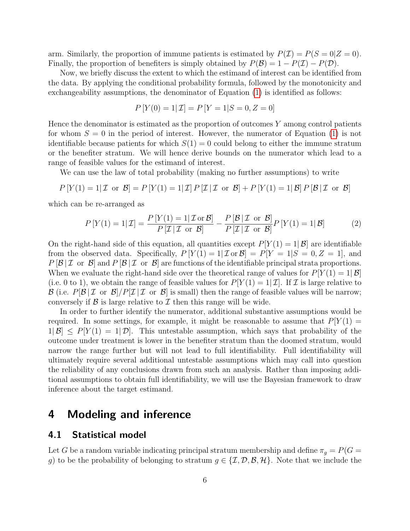arm. Similarly, the proportion of immune patients is estimated by  $P(\mathcal{I}) = P(S = 0 | Z = 0)$ . Finally, the proportion of benefiters is simply obtained by  $P(\mathcal{B}) = 1 - P(\mathcal{I}) - P(\mathcal{D})$ .

Now, we briefly discuss the extent to which the estimand of interest can be identified from the data. By applying the conditional probability formula, followed by the monotonicity and exchangeability assumptions, the denominator of Equation [\(1\)](#page-3-1) is identified as follows:

$$
P[Y(0) = 1 | \mathcal{I}] = P[Y = 1 | S = 0, Z = 0]
$$

Hence the denominator is estimated as the proportion of outcomes Y among control patients for whom  $S = 0$  in the period of interest. However, the numerator of Equation [\(1\)](#page-3-1) is not identifiable because patients for which  $S(1) = 0$  could belong to either the immune stratum or the benefiter stratum. We will hence derive bounds on the numerator which lead to a range of feasible values for the estimand of interest.

We can use the law of total probability (making no further assumptions) to write

$$
P[Y(1) = 1 | \mathcal{I} \text{ or } \mathcal{B}] = P[Y(1) = 1 | \mathcal{I}] P[\mathcal{I} | \mathcal{I} \text{ or } \mathcal{B}] + P[Y(1) = 1 | \mathcal{B}] P[\mathcal{B} | \mathcal{I} \text{ or } \mathcal{B}]
$$

which can be re-arranged as

$$
P\left[Y(1) = 1 | \mathcal{I}\right] = \frac{P\left[Y(1) = 1 | \mathcal{I} \text{ or } \mathcal{B}\right]}{P\left[\mathcal{I} | \mathcal{I} \text{ or } \mathcal{B}\right]} - \frac{P\left[\mathcal{B} | \mathcal{I} \text{ or } \mathcal{B}\right]}{P\left[\mathcal{I} | \mathcal{I} \text{ or } \mathcal{B}\right]}P\left[Y(1) = 1 | \mathcal{B}\right]
$$
(2)

On the right-hand side of this equation, all quantities except  $P[Y(1) = 1|\mathcal{B}]$  are identifiable from the observed data. Specifically,  $P[Y(1) = 1 | \mathcal{I} \text{ or } \mathcal{B}] = P[Y = 1 | S = 0, Z = 1]$ , and  $P[\mathcal{B} | \mathcal{I}]$  or  $\mathcal{B}$  and  $P[\mathcal{B} | \mathcal{I}]$  or  $\mathcal{B}$  are functions of the identifiable principal strata proportions. When we evaluate the right-hand side over the theoretical range of values for  $P[Y(1) = 1|\mathcal{B}]$ (i.e. 0 to 1), we obtain the range of feasible values for  $P[Y(1) = 1|\mathcal{I}]$ . If  $\mathcal I$  is large relative to  $\mathcal{B}$  (i.e.  $P[\mathcal{B} | \mathcal{I}]$  or  $\mathcal{B}|/\mathcal{P}[\mathcal{I} | \mathcal{I}]$  or  $\mathcal{B}|$  is small) then the range of feasible values will be narrow; conversely if  $\beta$  is large relative to  $\mathcal I$  then this range will be wide.

In order to further identify the numerator, additional substantive assumptions would be required. In some settings, for example, it might be reasonable to assume that  $P[Y(1) =$  $1|\mathcal{B}| \leq P[Y(1) = 1|\mathcal{D}|]$ . This untestable assumption, which says that probability of the outcome under treatment is lower in the benefiter stratum than the doomed stratum, would narrow the range further but will not lead to full identifiability. Full identifiability will ultimately require several additional untestable assumptions which may call into question the reliability of any conclusions drawn from such an analysis. Rather than imposing additional assumptions to obtain full identifiability, we will use the Bayesian framework to draw inference about the target estimand.

### <span id="page-5-0"></span>4 Modeling and inference

#### 4.1 Statistical model

Let G be a random variable indicating principal stratum membership and define  $\pi_g = P(G =$ g) to be the probability of belonging to stratum  $g \in \{\mathcal{I}, \mathcal{D}, \mathcal{B}, \mathcal{H}\}\.$  Note that we include the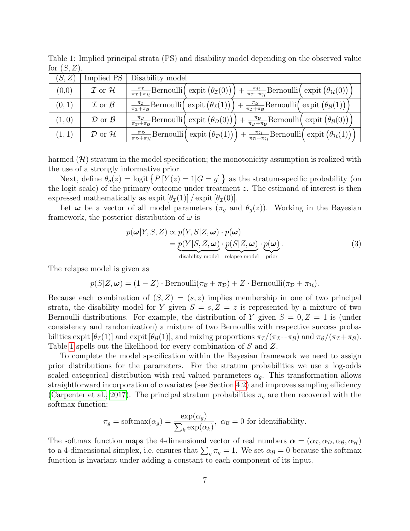| (S, Z) | Implied PS                   | Disability model                                                                                                                       |  |                                                                                                                                                                                                                                     |  |  |  |  |  |
|--------|------------------------------|----------------------------------------------------------------------------------------------------------------------------------------|--|-------------------------------------------------------------------------------------------------------------------------------------------------------------------------------------------------------------------------------------|--|--|--|--|--|
| (0,0)  | $\mathcal I$ or $\mathcal H$ | $\frac{\pi_{\mathcal{I}}}{\pi_{\mathcal{I}}+\pi_{\mathcal{H}}}$ Bernoulli $\left(\right)$ expit $\left(\theta_{\mathcal{I}}(0)\right)$ |  | $+\frac{\pi_{\mathcal{H}}}{\pi_{\mathcal{I}}+\pi_{\mathcal{H}}}$ Bernoulli $\left(\text{expit}(\theta_{\mathcal{H}}(0))\right)$                                                                                                     |  |  |  |  |  |
| (0,1)  | $\mathcal I$ or $\mathcal B$ | $\frac{\pi_{\mathcal{I}}}{\pi_{\mathcal{I}}+\pi_{\mathcal{B}}}$ Bernoulli $\left(\right)$ expit $\left(\theta_{\mathcal{I}}(1)\right)$ |  | $+ \frac{\pi_B}{\pi_{\mathcal{I}} + \pi_{\mathcal{B}}}$ Bernoulli $\left(\text{ expit }(\theta_{\mathcal{B}}(1))\right)$                                                                                                            |  |  |  |  |  |
| (1,0)  | $\mathcal D$ or $\mathcal B$ | $\frac{\pi_{\mathcal{D}}}{\pi_{\mathcal{D}}+\pi_{\mathcal{B}}}$ Bernoulli $\left(\text{expit}(\theta_{\mathcal{D}}(0))\right)$         |  | $+\frac{\pi_B}{\pi_{\mathcal{D}}+\pi_B}$ Bernoulli $(\expit(\theta_{\mathcal{B}}(0))]$                                                                                                                                              |  |  |  |  |  |
| (1, 1) | $\mathcal D$ or $\mathcal H$ |                                                                                                                                        |  | $\frac{\pi_D}{\pi_D + \pi_{\mathcal{H}}}$ Bernoulli $\left(\exp\left(\theta_{\mathcal{D}}(1)\right)\right) + \frac{\pi_{\mathcal{H}}}{\pi_D + \pi_{\mathcal{H}}}$ Bernoulli $\left(\exp\left(\theta_{\mathcal{H}}(1)\right)\right)$ |  |  |  |  |  |

<span id="page-6-0"></span>Table 1: Implied principal strata (PS) and disability model depending on the observed value for  $(S, Z)$ .

harmed  $(\mathcal{H})$  stratum in the model specification; the monotonicity assumption is realized with the use of a strongly informative prior.

Next, define  $\theta_g(z) = \text{logit} \{ P[Y(z) = 1 | G = g] \}$  as the stratum-specific probability (on the logit scale) of the primary outcome under treatment  $z$ . The estimand of interest is then expressed mathematically as expit  $[\theta_{\mathcal{I}}(1)] / \text{expit}[\theta_{\mathcal{I}}(0)].$ 

Let  $\omega$  be a vector of all model parameters  $(\pi_g$  and  $\theta_g(z)$ ). Working in the Bayesian framework, the posterior distribution of  $\omega$  is

<span id="page-6-1"></span>
$$
p(\boldsymbol{\omega}|Y, S, Z) \propto p(Y, S|Z, \boldsymbol{\omega}) \cdot p(\boldsymbol{\omega})
$$
  
= 
$$
p(Y|S, Z, \boldsymbol{\omega}) \cdot p(S|Z, \boldsymbol{\omega}) \cdot p(\boldsymbol{\omega}).
$$
  
disability model relapse model prior

The relapse model is given as

$$
p(S|Z, \omega) = (1 - Z) \cdot \text{Bernoulli}(\pi_{\mathcal{B}} + \pi_{\mathcal{D}}) + Z \cdot \text{Bernoulli}(\pi_{\mathcal{D}} + \pi_{\mathcal{H}}).
$$

Because each combination of  $(S, Z) = (s, z)$  implies membership in one of two principal strata, the disability model for Y given  $S = s, Z = z$  is represented by a mixture of two Bernoulli distributions. For example, the distribution of Y given  $S = 0, Z = 1$  is (under consistency and randomization) a mixture of two Bernoullis with respective success probabilities expit  $[\theta_{\mathcal{I}}(1)]$  and expit  $[\theta_{\mathcal{B}}(1)]$ , and mixing proportions  $\pi_{\mathcal{I}}/(\pi_{\mathcal{I}} + \pi_{\mathcal{B}})$  and  $\pi_{\mathcal{B}}/(\pi_{\mathcal{I}} + \pi_{\mathcal{B}})$ . Table [1](#page-6-0) spells out the likelihood for every combination of S and Z.

To complete the model specification within the Bayesian framework we need to assign prior distributions for the parameters. For the stratum probabilities we use a log-odds scaled categorical distribution with real valued parameters  $\alpha_q$ . This transformation allows straightforward incorporation of covariates (see Section [4.2\)](#page-7-0) and improves sampling efficiency [\(Carpenter et al., 2017\)](#page-13-3). The principal stratum probabilities  $\pi_q$  are then recovered with the softmax function:

$$
\pi_g
$$
 = softmax( $\alpha_g$ ) =  $\frac{\exp(\alpha_g)}{\sum_k \exp(\alpha_k)}$ ,  $\alpha_\mathcal{B}$  = 0 for identifiability.

The softmax function maps the 4-dimensional vector of real numbers  $\alpha = (\alpha_{\mathcal{I}}, \alpha_{\mathcal{D}}, \alpha_{\mathcal{B}}, \alpha_{\mathcal{H}})$ to a 4-dimensional simplex, i.e. ensures that  $\sum_{g} \pi_{g} = 1$ . We set  $\alpha_{\mathcal{B}} = 0$  because the softmax function is invariant under adding a constant to each component of its input.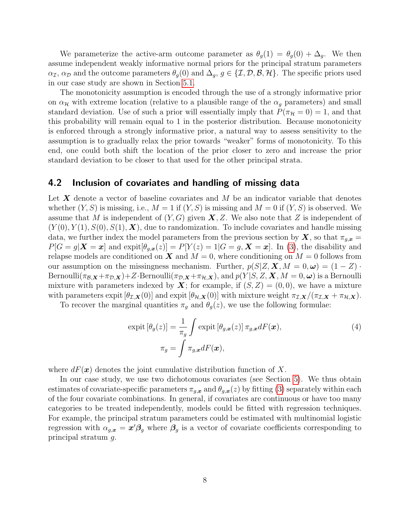We parameterize the active-arm outcome parameter as  $\theta_q(1) = \theta_q(0) + \Delta_q$ . We then assume independent weakly informative normal priors for the principal stratum parameters  $\alpha_{\mathcal{I}}, \alpha_{\mathcal{D}}$  and the outcome parameters  $\theta_q(0)$  and  $\Delta_q$ ,  $g \in \{\mathcal{I}, \mathcal{D}, \mathcal{B}, \mathcal{H}\}\.$  The specific priors used in our case study are shown in Section [5.1.](#page-8-1)

The monotonicity assumption is encoded through the use of a strongly informative prior on  $\alpha_{\mathcal{H}}$  with extreme location (relative to a plausible range of the  $\alpha_g$  parameters) and small standard deviation. Use of such a prior will essentially imply that  $P(\pi_{\mathcal{H}} = 0) = 1$ , and that this probability will remain equal to 1 in the posterior distribution. Because monotonicity is enforced through a strongly informative prior, a natural way to assess sensitivity to the assumption is to gradually relax the prior towards "weaker" forms of monotonicity. To this end, one could both shift the location of the prior closer to zero and increase the prior standard deviation to be closer to that used for the other principal strata.

#### <span id="page-7-0"></span>4.2 Inclusion of covariates and handling of missing data

Let  $X$  denote a vector of baseline covariates and  $M$  be an indicator variable that denotes whether  $(Y, S)$  is missing, i.e.,  $M = 1$  if  $(Y, S)$  is missing and  $M = 0$  if  $(Y, S)$  is observed. We assume that M is independent of  $(Y, G)$  given  $\mathbf{X}, Z$ . We also note that Z is independent of  $(Y(0), Y(1), S(0), S(1), X)$ , due to randomization. To include covariates and handle missing data, we further index the model parameters from the previous section by  $\mathbf{X}$ , so that  $\pi_{q,\mathbf{x}} =$  $P[G = g|\mathbf{X} = \mathbf{x}]$  and  $\exp\{\theta_{q,\mathbf{x}}(z)\} = P[Y(z) = 1 | G = g, \mathbf{X} = \mathbf{x}]$ . In [\(3\)](#page-6-1), the disability and relapse models are conditioned on  $X$  and  $M = 0$ , where conditioning on  $M = 0$  follows from our assumption on the missingness mechanism. Further,  $p(S|Z, \mathbf{X}, M = 0, \omega) = (1 - Z)$ . Bernoulli $(\pi_{\mathcal{B},\mathbf{X}}+\pi_{\mathcal{D},\mathbf{X}})+Z\cdot\text{Bernoulli}(\pi_{\mathcal{D},\mathbf{X}}+\pi_{\mathcal{H},\mathbf{X}}),$  and  $p(Y|S, Z, \mathbf{X}, M=0, \omega)$  is a Bernoulli mixture with parameters indexed by  $X$ ; for example, if  $(S, Z) = (0, 0)$ , we have a mixture with parameters expit  $[\theta_{\mathcal{I},\mathbf{X}}(0)]$  and expit  $[\theta_{\mathcal{H},\mathbf{X}}(0)]$  with mixture weight  $\pi_{\mathcal{I},\mathbf{X}}/(\pi_{\mathcal{I},\mathbf{X}} + \pi_{\mathcal{H},\mathbf{X}})$ .

To recover the marginal quantities  $\pi_q$  and  $\theta_q(z)$ , we use the following formulae:

$$
\text{expit}\left[\theta_g(z)\right] = \frac{1}{\pi_g} \int \text{expit}\left[\theta_{g,\mathbf{x}}(z)\right] \pi_{g,\mathbf{x}} dF(\mathbf{x}),\tag{4}
$$
\n
$$
\pi_g = \int \pi_{g,\mathbf{x}} dF(\mathbf{x}),
$$

where  $dF(\mathbf{x})$  denotes the joint cumulative distribution function of X.

In our case study, we use two dichotomous covariates (see Section [5\)](#page-8-0). We thus obtain estimates of covariate-specific parameters  $\pi_{g,x}$  and  $\theta_{g,x}(z)$  by fitting [\(3\)](#page-6-1) separately within each of the four covariate combinations. In general, if covariates are continuous or have too many categories to be treated independently, models could be fitted with regression techniques. For example, the principal stratum parameters could be estimated with multinomial logistic regression with  $\alpha_{g,x} = x'\beta_g$  where  $\beta_g$  is a vector of covariate coefficients corresponding to principal stratum g.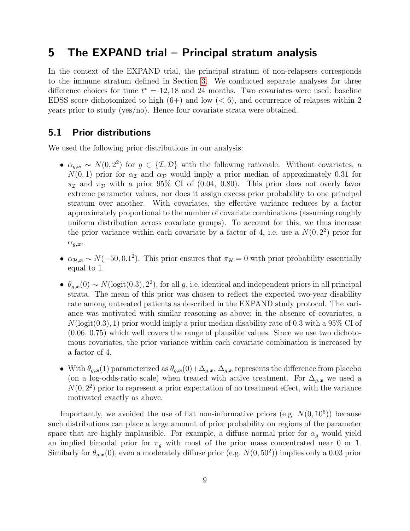### <span id="page-8-0"></span>5 The EXPAND trial – Principal stratum analysis

In the context of the EXPAND trial, the principal stratum of non-relapsers corresponds to the immune stratum defined in Section [3.](#page-3-0) We conducted separate analyses for three difference choices for time  $t^* = 12,18$  and 24 months. Two covariates were used: baseline EDSS score dichotomized to high  $(6+)$  and low  $(< 6)$ , and occurrence of relapses within 2 years prior to study (yes/no). Hence four covariate strata were obtained.

### <span id="page-8-1"></span>5.1 Prior distributions

We used the following prior distributions in our analysis:

- $\alpha_{g,x} \sim N(0, 2^2)$  for  $g \in \{\mathcal{I}, \mathcal{D}\}\$  with the following rationale. Without covariates, a  $N(0, 1)$  prior for  $\alpha_{\mathcal{I}}$  and  $\alpha_{\mathcal{D}}$  would imply a prior median of approximately 0.31 for  $\pi_{\mathcal{I}}$  and  $\pi_{\mathcal{D}}$  with a prior 95% CI of (0.04, 0.80). This prior does not overly favor extreme parameter values, nor does it assign excess prior probability to one principal stratum over another. With covariates, the effective variance reduces by a factor approximately proportional to the number of covariate combinations (assuming roughly uniform distribution across covariate groups). To account for this, we thus increase the prior variance within each covariate by a factor of 4, i.e. use a  $N(0, 2^2)$  prior for  $\alpha_{g,\boldsymbol{x}}$ .
- $\alpha_{\mathcal{H},\mathbf{x}} \sim N(-50, 0.1^2)$ . This prior ensures that  $\pi_{\mathcal{H}} = 0$  with prior probability essentially equal to 1.
- $\theta_{g,x}(0) \sim N(\text{logit}(0.3), 2^2)$ , for all g, i.e. identical and independent priors in all principal strata. The mean of this prior was chosen to reflect the expected two-year disability rate among untreated patients as described in the EXPAND study protocol. The variance was motivated with similar reasoning as above; in the absence of covariates, a  $N(\text{logit}(0.3), 1)$  prior would imply a prior median disability rate of 0.3 with a 95% CI of (0.06, 0.75) which well covers the range of plausible values. Since we use two dichotomous covariates, the prior variance within each covariate combination is increased by a factor of 4.
- With  $\theta_{g,x}(1)$  parameterized as  $\theta_{g,x}(0)+\Delta_{g,x}$ ,  $\Delta_{g,x}$  represents the difference from placebo (on a log-odds-ratio scale) when treated with active treatment. For  $\Delta_{g,x}$  we used a  $N(0, 2<sup>2</sup>)$  prior to represent a prior expectation of no treatment effect, with the variance motivated exactly as above.

Importantly, we avoided the use of flat non-informative priors (e.g.  $N(0, 10^6)$ ) because such distributions can place a large amount of prior probability on regions of the parameter space that are highly implausible. For example, a diffuse normal prior for  $\alpha_q$  would yield an implied bimodal prior for  $\pi_g$  with most of the prior mass concentrated near 0 or 1. Similarly for  $\theta_{g,x}(0)$ , even a moderately diffuse prior (e.g.  $N(0, 50^2)$ ) implies only a 0.03 prior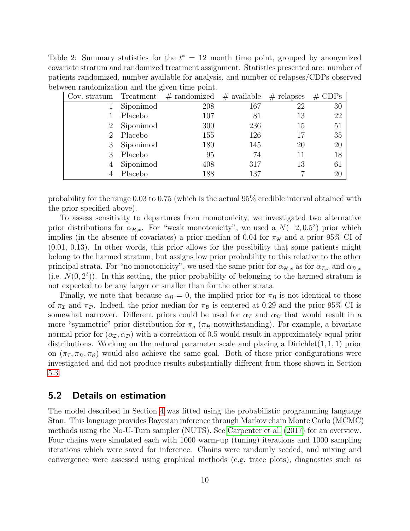<span id="page-9-0"></span>Table 2: Summary statistics for the  $t^* = 12$  month time point, grouped by anonymized covariate stratum and randomized treatment assignment. Statistics presented are: number of patients randomized, number available for analysis, and number of relapses/CDPs observed between randomization and the given time point.

| Cov. stratum | Treatment | $#$ randomized | $#$ available | $#$ relapses | $#$ CDPs |
|--------------|-----------|----------------|---------------|--------------|----------|
|              | Siponimod | 208            | 167           | 22           | 30       |
|              | Placebo   | 107            | 81            | 13           | 22       |
|              | Siponimod | 300            | 236           | 15           | 51       |
|              | Placebo   | 155            | 126           | 17           | 35       |
|              | Siponimod | 180            | 145           | 20           | 20       |
|              | Placebo   | 95             | 74            |              | 18       |
|              | Siponimod | 408            | 317           | 13           | 61       |
|              | Placebo   | 188            | 137           |              | 20       |

probability for the range 0.03 to 0.75 (which is the actual 95% credible interval obtained with the prior specified above).

To assess sensitivity to departures from monotonicity, we investigated two alternative prior distributions for  $\alpha_{\mathcal{H},x}$ . For "weak monotonicity", we used a  $N(-2,0.5^2)$  prior which implies (in the absence of covariates) a prior median of 0.04 for  $\pi_{\mathcal{H}}$  and a prior 95% CI of (0.01, 0.13). In other words, this prior allows for the possibility that some patients might belong to the harmed stratum, but assigns low prior probability to this relative to the other principal strata. For "no monotonicity", we used the same prior for  $\alpha_{\mathcal{H},x}$  as for  $\alpha_{\mathcal{I},x}$  and  $\alpha_{\mathcal{D},x}$ (i.e.  $N(0, 2^2)$ ). In this setting, the prior probability of belonging to the harmed stratum is not expected to be any larger or smaller than for the other strata.

Finally, we note that because  $\alpha_B = 0$ , the implied prior for  $\pi_B$  is not identical to those of  $\pi_{\mathcal{I}}$  and  $\pi_{\mathcal{D}}$ . Indeed, the prior median for  $\pi_{\mathcal{B}}$  is centered at 0.29 and the prior 95% CI is somewhat narrower. Different priors could be used for  $\alpha_{\mathcal{I}}$  and  $\alpha_{\mathcal{D}}$  that would result in a more "symmetric" prior distribution for  $\pi_q$  ( $\pi_{\mathcal{H}}$  notwithstanding). For example, a bivariate normal prior for  $(\alpha_{\mathcal{I}}, \alpha_{\mathcal{D}})$  with a correlation of 0.5 would result in approximately equal prior distributions. Working on the natural parameter scale and placing a Dirichlet $(1, 1, 1)$  prior on  $(\pi_{\mathcal{I}}, \pi_{\mathcal{D}}, \pi_{\mathcal{B}})$  would also achieve the same goal. Both of these prior configurations were investigated and did not produce results substantially different from those shown in Section [5.3.](#page-10-0)

#### 5.2 Details on estimation

The model described in Section [4](#page-5-0) was fitted using the probabilistic programming language Stan. This language provides Bayesian inference through Markov chain Monte Carlo (MCMC) methods using the No-U-Turn sampler (NUTS). See [Carpenter et al.](#page-13-3) [\(2017\)](#page-13-3) for an overview. Four chains were simulated each with 1000 warm-up (tuning) iterations and 1000 sampling iterations which were saved for inference. Chains were randomly seeded, and mixing and convergence were assessed using graphical methods (e.g. trace plots), diagnostics such as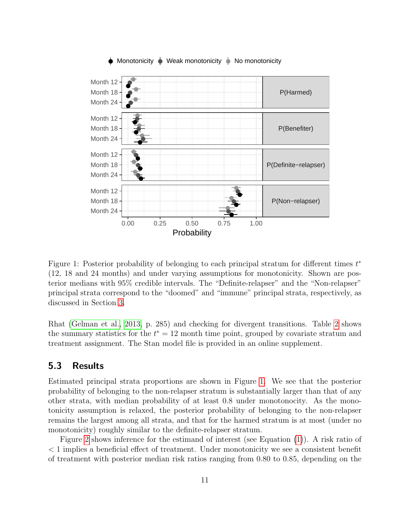

#### Monotonicity  $\blacklozenge$  Weak monotonicity  $\blacklozenge$  No monotonicity

<span id="page-10-1"></span>Figure 1: Posterior probability of belonging to each principal stratum for different times  $t^*$ (12, 18 and 24 months) and under varying assumptions for monotonicity. Shown are posterior medians with 95% credible intervals. The "Definite-relapser" and the "Non-relapser" principal strata correspond to the "doomed" and "immune" principal strata, respectively, as discussed in Section [3.](#page-3-0)

Rhat [\(Gelman et al., 2013,](#page-14-8) p. 285) and checking for divergent transitions. Table [2](#page-9-0) shows the summary statistics for the  $t^* = 12$  month time point, grouped by covariate stratum and treatment assignment. The Stan model file is provided in an online supplement.

#### <span id="page-10-0"></span>5.3 Results

Estimated principal strata proportions are shown in Figure [1.](#page-10-1) We see that the posterior probability of belonging to the non-relapser stratum is substantially larger than that of any other strata, with median probability of at least 0.8 under monotonocity. As the monotonicity assumption is relaxed, the posterior probability of belonging to the non-relapser remains the largest among all strata, and that for the harmed stratum is at most (under no monotonicity) roughly similar to the definite-relapser stratum.

Figure [2](#page-11-1) shows inference for the estimand of interest (see Equation [\(1\)](#page-3-1)). A risk ratio of < 1 implies a beneficial effect of treatment. Under monotonicity we see a consistent benefit of treatment with posterior median risk ratios ranging from 0.80 to 0.85, depending on the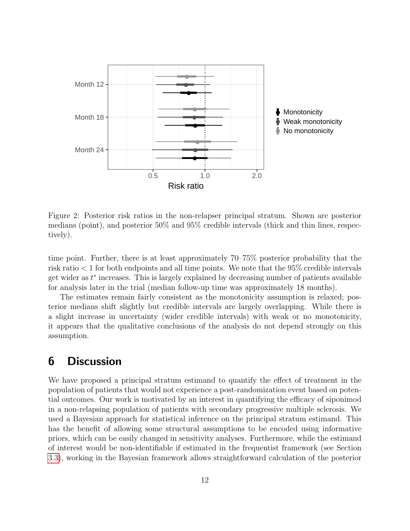

<span id="page-11-1"></span>Figure 2: Posterior risk ratios in the non-relapser principal stratum. Shown are posterior medians (point), and posterior 50% and 95% credible intervals (thick and thin lines, respectively).

time point. Further, there is at least approximately 70–75% posterior probability that the risk ratio < 1 for both endpoints and all time points. We note that the 95% credible intervals get wider as  $t^*$  increases. This is largely explained by decreasing number of patients available for analysis later in the trial (median follow-up time was approximately 18 months).

The estimates remain fairly consistent as the monotonicity assumption is relaxed; posterior medians shift slightly but credible intervals are largely overlapping. While there is a slight increase in uncertainty (wider credible intervals) with weak or no monotonicity, it appears that the qualitative conclusions of the analysis do not depend strongly on this assumption.

### <span id="page-11-0"></span>6 Discussion

We have proposed a principal stratum estimand to quantify the effect of treatment in the population of patients that would not experience a post-randomization event based on potential outcomes. Our work is motivated by an interest in quantifying the efficacy of siponimod in a non-relapsing population of patients with secondary progressive multiple sclerosis. We used a Bayesian approach for statistical inference on the principal stratum estimand. This has the benefit of allowing some structural assumptions to be encoded using informative priors, which can be easily changed in sensitivity analyses. Furthermore, while the estimand of interest would be non-identifiable if estimated in the frequentist framework (see Section [3.3\)](#page-4-0), working in the Bayesian framework allows straightforward calculation of the posterior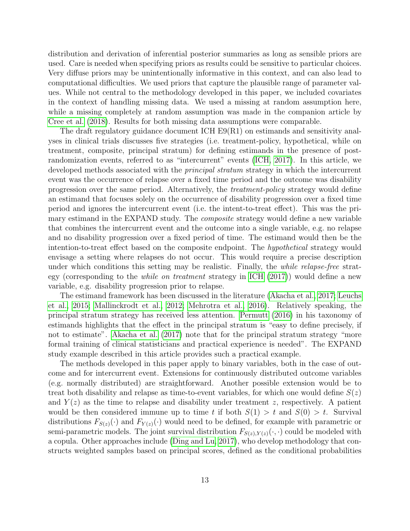distribution and derivation of inferential posterior summaries as long as sensible priors are used. Care is needed when specifying priors as results could be sensitive to particular choices. Very diffuse priors may be unintentionally informative in this context, and can also lead to computational difficulties. We used priors that capture the plausible range of parameter values. While not central to the methodology developed in this paper, we included covariates in the context of handling missing data. We used a missing at random assumption here, while a missing completely at random assumption was made in the companion article by [Cree et al.](#page-13-4) [\(2018\)](#page-13-4). Results for both missing data assumptions were comparable.

The draft regulatory guidance document ICH E9(R1) on estimands and sensitivity analyses in clinical trials discusses five strategies (i.e. treatment-policy, hypothetical, while on treatment, composite, principal stratum) for defining estimands in the presence of postrandomization events, referred to as "intercurrent" events [\(ICH, 2017\)](#page-14-5). In this article, we developed methods associated with the *principal stratum* strategy in which the intercurrent event was the occurrence of relapse over a fixed time period and the outcome was disability progression over the same period. Alternatively, the treatment-policy strategy would define an estimand that focuses solely on the occurrence of disability progression over a fixed time period and ignores the intercurrent event (i.e. the intent-to-treat effect). This was the primary estimand in the EXPAND study. The *composite* strategy would define a new variable that combines the intercurrent event and the outcome into a single variable, e.g. no relapse and no disability progression over a fixed period of time. The estimand would then be the intention-to-treat effect based on the composite endpoint. The *hypothetical* strategy would envisage a setting where relapses do not occur. This would require a precise description under which conditions this setting may be realistic. Finally, the *while relapse-free* strategy (corresponding to the while on treatment strategy in [ICH](#page-14-5) [\(2017\)](#page-14-5)) would define a new variable, e.g. disability progression prior to relapse.

The estimand framework has been discussed in the literature [\(Akacha et al., 2017;](#page-13-5) [Leuchs](#page-14-9) [et al., 2015;](#page-14-9) [Mallinckrodt et al., 2012;](#page-14-10) [Mehrotra et al., 2016\)](#page-14-11). Relatively speaking, the principal stratum strategy has received less attention. [Permutt](#page-15-6) [\(2016\)](#page-15-6) in his taxonomy of estimands highlights that the effect in the principal stratum is "easy to define precisely, if not to estimate". [Akacha et al.](#page-13-6) [\(2017\)](#page-13-6) note that for the principal stratum strategy "more formal training of clinical statisticians and practical experience is needed". The EXPAND study example described in this article provides such a practical example.

The methods developed in this paper apply to binary variables, both in the case of outcome and for intercurrent event. Extensions for continuously distributed outcome variables (e.g. normally distributed) are straightforward. Another possible extension would be to treat both disability and relapse as time-to-event variables, for which one would define  $S(z)$ and  $Y(z)$  as the time to relapse and disability under treatment z, respectively. A patient would be then considered immune up to time t if both  $S(1) > t$  and  $S(0) > t$ . Survival distributions  $F_{S(z)}(\cdot)$  and  $F_{Y(z)}(\cdot)$  would need to be defined, for example with parametric or semi-parametric models. The joint survival distribution  $F_{S(z),Y(z)}(\cdot,\cdot)$  could be modeled with a copula. Other approaches include [\(Ding and Lu, 2017\)](#page-13-2), who develop methodology that constructs weighted samples based on principal scores, defined as the conditional probabilities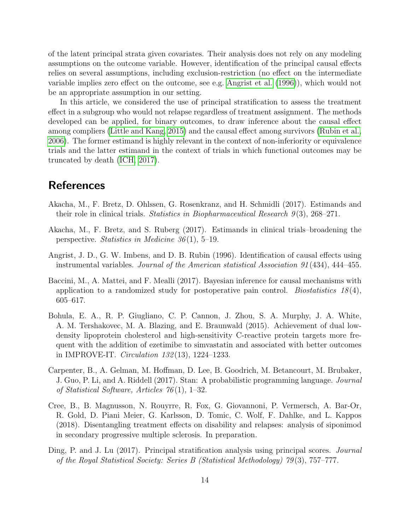of the latent principal strata given covariates. Their analysis does not rely on any modeling assumptions on the outcome variable. However, identification of the principal causal effects relies on several assumptions, including exclusion-restriction (no effect on the intermediate variable implies zero effect on the outcome, see e.g. [Angrist et al.](#page-13-7) [\(1996\)](#page-13-7)), which would not be an appropriate assumption in our setting.

In this article, we considered the use of principal stratification to assess the treatment effect in a subgroup who would not relapse regardless of treatment assignment. The methods developed can be applied, for binary outcomes, to draw inference about the causal effect among compliers [\(Little and Kang, 2015\)](#page-14-12) and the causal effect among survivors [\(Rubin et al.,](#page-15-7) [2006\)](#page-15-7). The former estimand is highly relevant in the context of non-inferiority or equivalence trials and the latter estimand in the context of trials in which functional outcomes may be truncated by death [\(ICH, 2017\)](#page-14-5).

## **References**

- <span id="page-13-5"></span>Akacha, M., F. Bretz, D. Ohlssen, G. Rosenkranz, and H. Schmidli (2017). Estimands and their role in clinical trials. Statistics in Biopharmaceutical Research  $9(3)$ , 268–271.
- <span id="page-13-6"></span>Akacha, M., F. Bretz, and S. Ruberg (2017). Estimands in clinical trials–broadening the perspective. Statistics in Medicine  $36(1)$ , 5–19.
- <span id="page-13-7"></span>Angrist, J. D., G. W. Imbens, and D. B. Rubin (1996). Identification of causal effects using instrumental variables. Journal of the American statistical Association 91 (434), 444–455.
- <span id="page-13-1"></span>Baccini, M., A. Mattei, and F. Mealli (2017). Bayesian inference for causal mechanisms with application to a randomized study for postoperative pain control. Biostatistics  $18(4)$ , 605–617.
- <span id="page-13-0"></span>Bohula, E. A., R. P. Giugliano, C. P. Cannon, J. Zhou, S. A. Murphy, J. A. White, A. M. Tershakovec, M. A. Blazing, and E. Braunwald (2015). Achievement of dual lowdensity lipoprotein cholesterol and high-sensitivity C-reactive protein targets more frequent with the addition of ezetimibe to simvastatin and associated with better outcomes in IMPROVE-IT. Circulation 132 (13), 1224–1233.
- <span id="page-13-3"></span>Carpenter, B., A. Gelman, M. Hoffman, D. Lee, B. Goodrich, M. Betancourt, M. Brubaker, J. Guo, P. Li, and A. Riddell (2017). Stan: A probabilistic programming language. Journal of Statistical Software, Articles 76 (1), 1–32.
- <span id="page-13-4"></span>Cree, B., B. Magnusson, N. Rouyrre, R. Fox, G. Giovannoni, P. Vermersch, A. Bar-Or, R. Gold, D. Piani Meier, G. Karlsson, D. Tomic, C. Wolf, F. Dahlke, and L. Kappos (2018). Disentangling treatment effects on disability and relapses: analysis of siponimod in secondary progressive multiple sclerosis. In preparation.
- <span id="page-13-2"></span>Ding, P. and J. Lu (2017). Principal stratification analysis using principal scores. Journal of the Royal Statistical Society: Series B (Statistical Methodology) 79 (3), 757–777.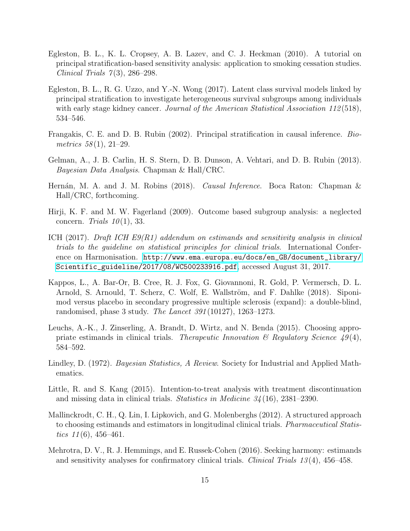- <span id="page-14-3"></span>Egleston, B. L., K. L. Cropsey, A. B. Lazev, and C. J. Heckman (2010). A tutorial on principal stratification-based sensitivity analysis: application to smoking cessation studies. Clinical Trials  $7(3)$ , 286–298.
- <span id="page-14-4"></span>Egleston, B. L., R. G. Uzzo, and Y.-N. Wong (2017). Latent class survival models linked by principal stratification to investigate heterogeneous survival subgroups among individuals with early stage kidney cancer. Journal of the American Statistical Association 112(518), 534–546.
- <span id="page-14-1"></span>Frangakis, C. E. and D. B. Rubin (2002). Principal stratification in causal inference. Biometrics  $58(1), 21-29$ .
- <span id="page-14-8"></span>Gelman, A., J. B. Carlin, H. S. Stern, D. B. Dunson, A. Vehtari, and D. B. Rubin (2013). Bayesian Data Analysis. Chapman & Hall/CRC.
- <span id="page-14-7"></span>Hernán, M. A. and J. M. Robins (2018). *Causal Inference*. Boca Raton: Chapman  $\&$ Hall/CRC, forthcoming.
- <span id="page-14-0"></span>Hirji, K. F. and M. W. Fagerland (2009). Outcome based subgroup analysis: a neglected concern. Trials  $10(1)$ , 33.
- <span id="page-14-5"></span>ICH (2017). Draft ICH E9(R1) addendum on estimands and sensitivity analysis in clinical trials to the guideline on statistical principles for clinical trials. International Conference on Harmonisation. [http://www.ema.europa.eu/docs/en\\_GB/document\\_library/](http://www.ema.europa.eu/docs/en_GB/document_library/Scientific_guideline/2017/08/WC500233916.pdf) [Scientific\\_guideline/2017/08/WC500233916.pdf](http://www.ema.europa.eu/docs/en_GB/document_library/Scientific_guideline/2017/08/WC500233916.pdf), accessed August 31, 2017.
- <span id="page-14-6"></span>Kappos, L., A. Bar-Or, B. Cree, R. J. Fox, G. Giovannoni, R. Gold, P. Vermersch, D. L. Arnold, S. Arnould, T. Scherz, C. Wolf, E. Wallström, and F. Dahlke (2018). Siponimod versus placebo in secondary progressive multiple sclerosis (expand): a double-blind, randomised, phase 3 study. The Lancet 391 (10127), 1263–1273.
- <span id="page-14-9"></span>Leuchs, A.-K., J. Zinserling, A. Brandt, D. Wirtz, and N. Benda (2015). Choosing appropriate estimands in clinical trials. Therapeutic Innovation  $\mathscr B$  Regulatory Science 49(4), 584–592.
- <span id="page-14-2"></span>Lindley, D. (1972). *Bayesian Statistics, A Review.* Society for Industrial and Applied Mathematics.
- <span id="page-14-12"></span>Little, R. and S. Kang (2015). Intention-to-treat analysis with treatment discontinuation and missing data in clinical trials. Statistics in Medicine 34 (16), 2381–2390.
- <span id="page-14-10"></span>Mallinckrodt, C. H., Q. Lin, I. Lipkovich, and G. Molenberghs (2012). A structured approach to choosing estimands and estimators in longitudinal clinical trials. Pharmaceutical Statistics  $11(6)$ ,  $456-461$ .
- <span id="page-14-11"></span>Mehrotra, D. V., R. J. Hemmings, and E. Russek-Cohen (2016). Seeking harmony: estimands and sensitivity analyses for confirmatory clinical trials. Clinical Trials  $13(4)$ ,  $456-458$ .